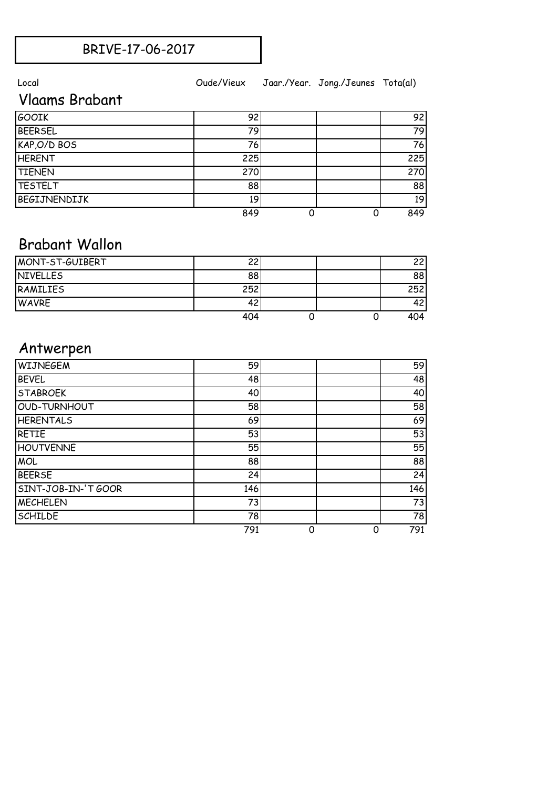### BRIVE-17-06-2017

Local Oude/Vieux Jaar./Year. Jong./Jeunes Tota(al)

#### Vlaams Brabant

| <b>GOOIK</b>   | 92  |  | 92  |
|----------------|-----|--|-----|
| <b>BEERSEL</b> | 79. |  | 79  |
| KAP, O/D BOS   | 76. |  | 76  |
| <b>HERENT</b>  | 225 |  | 225 |
| <b>TIENEN</b>  | 270 |  | 270 |
| <b>TESTELT</b> | 88  |  | 88  |
| BEGIJNENDIJK   | 19  |  | 19  |
|                | 849 |  | 849 |

### Brabant Wallon

| MONT-ST-GUIBERT |     |  | າາ               |
|-----------------|-----|--|------------------|
| <b>NIVELLES</b> | 88  |  | 88               |
| <b>RAMILIES</b> | 252 |  | 252 <sub>1</sub> |
| <b>WAVRE</b>    |     |  |                  |
|                 | 404 |  | 404              |

## Antwerpen

| WIJNEGEM            | 59  |   |   | 59  |
|---------------------|-----|---|---|-----|
| <b>BEVEL</b>        | 48  |   |   | 48  |
| <b>STABROEK</b>     | 40  |   |   | 40  |
| OUD-TURNHOUT        | 58  |   |   | 58  |
| <b>HERENTALS</b>    | 69  |   |   | 69  |
| <b>RETIE</b>        | 53  |   |   | 53  |
| <b>HOUTVENNE</b>    | 55  |   |   | 55  |
| <b>MOL</b>          | 88  |   |   | 88  |
| <b>BEERSE</b>       | 24  |   |   | 24  |
| SINT-JOB-IN-'T GOOR | 146 |   |   | 146 |
| <b>MECHELEN</b>     | 73  |   |   | 73  |
| <b>SCHILDE</b>      | 78  |   |   | 78  |
|                     | 791 | 0 | Ω | 791 |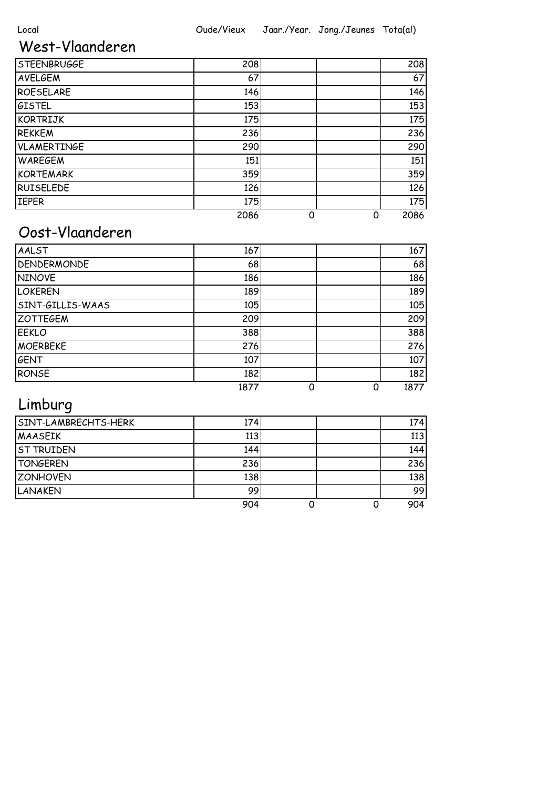# West-Vlaanderen

| <b>STEENBRUGGE</b> | 208  |   |   | 208  |
|--------------------|------|---|---|------|
| <b>AVELGEM</b>     | 67   |   |   | 67   |
| <b>ROESELARE</b>   | 146  |   |   | 146  |
| <b>GISTEL</b>      | 153  |   |   | 153  |
| <b>KORTRIJK</b>    | 175  |   |   | 175  |
| <b>REKKEM</b>      | 236  |   |   | 236  |
| <b>VLAMERTINGE</b> | 290  |   |   | 290  |
| <b>WAREGEM</b>     | 151  |   |   | 151  |
| <b>KORTEMARK</b>   | 359  |   |   | 359  |
| <b>RUISELEDE</b>   | 126  |   |   | 126  |
| <b>IEPER</b>       | 175  |   |   | 175  |
|                    | 2086 | 0 | Ω | 2086 |

## Oost-Vlaanderen

| AALST            | 167  |   | 167  |
|------------------|------|---|------|
| DENDERMONDE      | 68   |   | 68   |
| <b>NINOVE</b>    | 186  |   | 186  |
| <b>LOKEREN</b>   | 189  |   | 189  |
| SINT-GILLIS-WAAS | 105  |   | 105  |
| <b>ZOTTEGEM</b>  | 209  |   | 209  |
| <b>EEKLO</b>     | 388  |   | 388  |
| <b>MOERBEKE</b>  | 276  |   | 276  |
| <b>GENT</b>      | 107  |   | 107  |
| <b>RONSE</b>     | 182  |   | 182  |
|                  | 1877 | Ω | 1877 |

# Limburg

| SINT-LAMBRECHTS-HERK | 174 |  | 174 |
|----------------------|-----|--|-----|
| <b>MAASEIK</b>       | 113 |  | 113 |
| <b>ST TRUIDEN</b>    | 144 |  | 144 |
| <b>TONGEREN</b>      | 236 |  | 236 |
| <b>ZONHOVEN</b>      | 138 |  | 138 |
| <b>LANAKEN</b>       | 99  |  | 99  |
|                      | 904 |  | 904 |